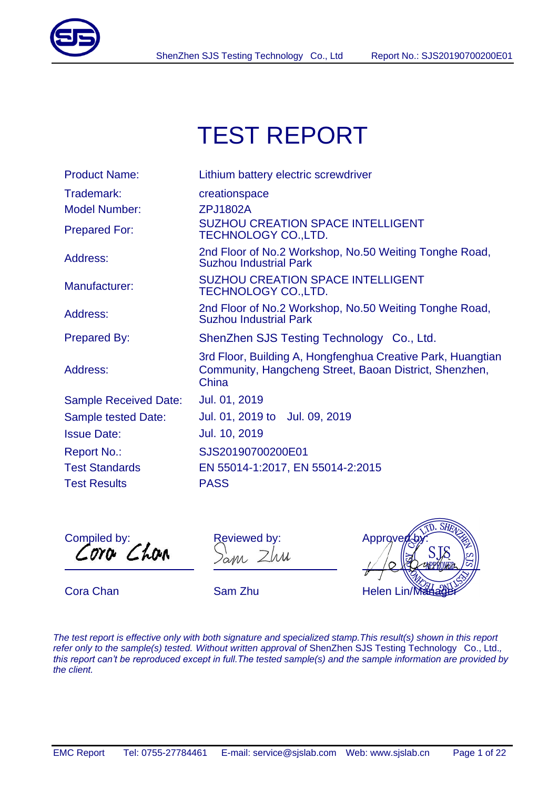

# TEST REPORT

| Trademark:<br>creationspace<br><b>Model Number:</b><br><b>ZPJ1802A</b><br><b>SUZHOU CREATION SPACE INTELLIGENT</b><br><b>Prepared For:</b><br><b>TECHNOLOGY CO., LTD.</b> |
|---------------------------------------------------------------------------------------------------------------------------------------------------------------------------|
|                                                                                                                                                                           |
|                                                                                                                                                                           |
|                                                                                                                                                                           |
| 2nd Floor of No.2 Workshop, No.50 Weiting Tonghe Road,<br>Address:<br><b>Suzhou Industrial Park</b>                                                                       |
| <b>SUZHOU CREATION SPACE INTELLIGENT</b><br>Manufacturer:<br><b>TECHNOLOGY CO., LTD.</b>                                                                                  |
| 2nd Floor of No.2 Workshop, No.50 Weiting Tonghe Road,<br>Address:<br><b>Suzhou Industrial Park</b>                                                                       |
| <b>Prepared By:</b><br>ShenZhen SJS Testing Technology Co., Ltd.                                                                                                          |
| 3rd Floor, Building A, Hongfenghua Creative Park, Huangtian<br>Address:<br>Community, Hangcheng Street, Baoan District, Shenzhen,<br>China                                |
| Jul. 01, 2019<br><b>Sample Received Date:</b>                                                                                                                             |
| Jul. 01, 2019 to Jul. 09, 2019<br><b>Sample tested Date:</b>                                                                                                              |
| Jul. 10, 2019<br><b>Issue Date:</b>                                                                                                                                       |
| SJS20190700200E01<br><b>Report No.:</b>                                                                                                                                   |
| <b>Test Standards</b><br>EN 55014-1:2017, EN 55014-2:2015                                                                                                                 |
| <b>Test Results</b><br><b>PASS</b>                                                                                                                                        |

Compiled by:  $\overline{a}$ 

Reviewed by: ann Zhu  $\overline{\phantom{a}}$ 



*The test report is effective only with both signature and specialized stamp.This result(s) shown in this report refer only to the sample(s) tested. Without written approval of* ShenZhen SJS Testing Technology Co., Ltd.*, this report can't be reproduced except in full.The tested sample(s) and the sample information are provided by the client.*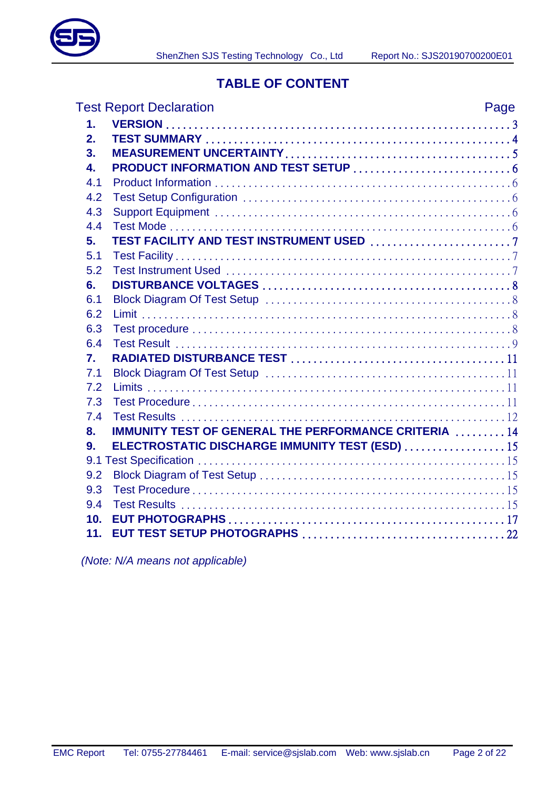

### **TABLE OF CONTENT**

|                 | <b>Test Report Declaration</b>                              | Page |
|-----------------|-------------------------------------------------------------|------|
| 1.              |                                                             |      |
| 2.              |                                                             |      |
| 3.              |                                                             |      |
| 4.              |                                                             |      |
| 4.1             |                                                             |      |
| 4.2             |                                                             |      |
| 4.3             |                                                             |      |
| 4.4             |                                                             |      |
| 5.              |                                                             |      |
| 5.1             |                                                             |      |
| 5.2             |                                                             |      |
| 6.              |                                                             |      |
| 6.1             |                                                             |      |
| 6.2             |                                                             |      |
| 6.3             |                                                             |      |
| 6.4             |                                                             |      |
| 7.              |                                                             |      |
| 7.1             |                                                             |      |
| 7.2             |                                                             |      |
| 7.3             |                                                             |      |
| 7.4             |                                                             |      |
| 8.              | <b>IMMUNITY TEST OF GENERAL THE PERFORMANCE CRITERIA 14</b> |      |
| 9.              | ELECTROSTATIC DISCHARGE IMMUNITY TEST (ESD)  15             |      |
|                 |                                                             |      |
| 9.2             |                                                             |      |
| 9.3             |                                                             |      |
| 9.4             |                                                             |      |
| 10 <sub>1</sub> |                                                             |      |
| 11.             |                                                             |      |

 *(Note: N/A means not applicable)*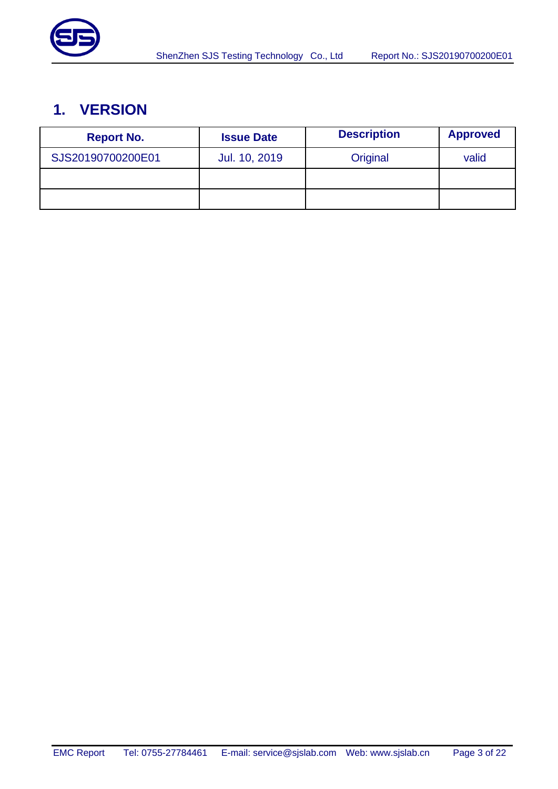

# <span id="page-2-0"></span>**1. VERSION**

| <b>Report No.</b> | <b>Issue Date</b> | <b>Description</b> | <b>Approved</b> |
|-------------------|-------------------|--------------------|-----------------|
| SJS20190700200E01 | Jul. 10, 2019     | Original           | valid           |
|                   |                   |                    |                 |
|                   |                   |                    |                 |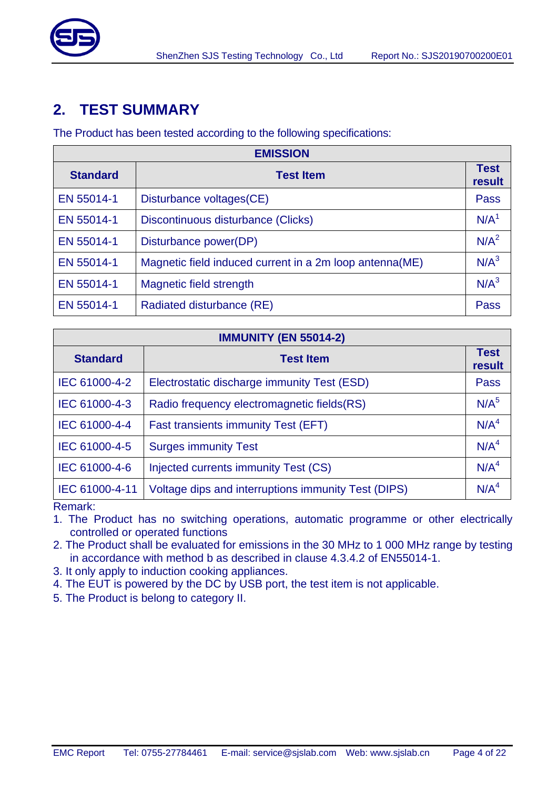

# <span id="page-3-0"></span>**2. TEST SUMMARY**

The Product has been tested according to the following specifications:

| <b>EMISSION</b> |                                                         |                       |  |  |  |
|-----------------|---------------------------------------------------------|-----------------------|--|--|--|
| <b>Standard</b> | <b>Test Item</b>                                        | <b>Test</b><br>result |  |  |  |
| EN 55014-1      | Disturbance voltages (CE)                               | Pass                  |  |  |  |
| EN 55014-1      | Discontinuous disturbance (Clicks)                      | N/A <sup>1</sup>      |  |  |  |
| EN 55014-1      | Disturbance power(DP)                                   | N/A <sup>2</sup>      |  |  |  |
| EN 55014-1      | Magnetic field induced current in a 2m loop antenna(ME) | N/A <sup>3</sup>      |  |  |  |
| EN 55014-1      | Magnetic field strength                                 | N/A <sup>3</sup>      |  |  |  |
| EN 55014-1      | Radiated disturbance (RE)                               | Pass                  |  |  |  |

| <b>IMMUNITY (EN 55014-2)</b> |                                                     |                       |  |  |  |
|------------------------------|-----------------------------------------------------|-----------------------|--|--|--|
| <b>Standard</b>              | <b>Test Item</b>                                    | <b>Test</b><br>result |  |  |  |
| IEC 61000-4-2                | Electrostatic discharge immunity Test (ESD)         | Pass                  |  |  |  |
| IEC 61000-4-3                | Radio frequency electromagnetic fields (RS)         | N/A <sup>5</sup>      |  |  |  |
| IEC 61000-4-4                | Fast transients immunity Test (EFT)                 | N/A <sup>4</sup>      |  |  |  |
| IEC 61000-4-5                | <b>Surges immunity Test</b>                         | N/A <sup>4</sup>      |  |  |  |
| IEC 61000-4-6                | Injected currents immunity Test (CS)                | N/A <sup>4</sup>      |  |  |  |
| IEC 61000-4-11               | Voltage dips and interruptions immunity Test (DIPS) | N/A <sup>4</sup>      |  |  |  |
| Damoulu                      |                                                     |                       |  |  |  |

Remark:

1. The Product has no switching operations, automatic programme or other electrically controlled or operated functions

2. The Product shall be evaluated for emissions in the 30 MHz to 1 000 MHz range by testing in accordance with method b as described in clause 4.3.4.2 of EN55014-1.

3. It only apply to induction cooking appliances.

4. The EUT is powered by the DC by USB port, the test item is not applicable.

5. The Product is belong to category II.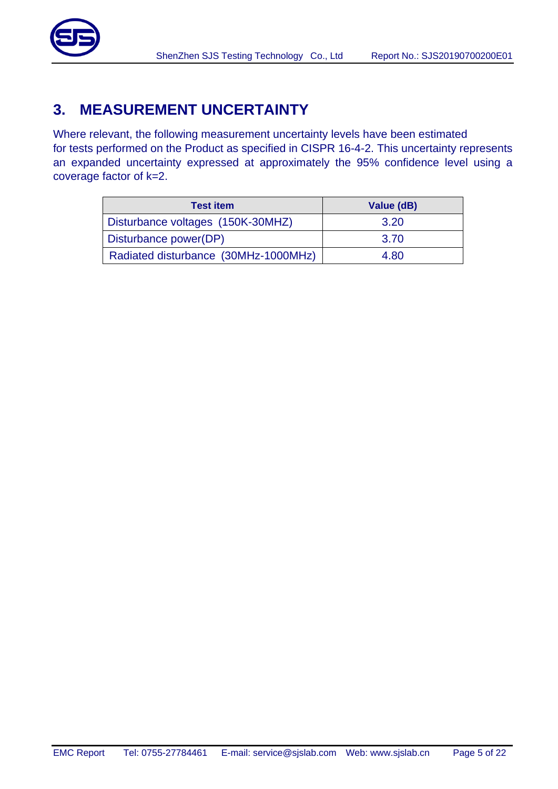

# <span id="page-4-0"></span>**3. MEASUREMENT UNCERTAINTY**

Where relevant, the following measurement uncertainty levels have been estimated for tests performed on the Product as specified in CISPR 16-4-2. This uncertainty represents an expanded uncertainty expressed at approximately the 95% confidence level using a coverage factor of k=2.

| <b>Test item</b>                     | Value (dB) |
|--------------------------------------|------------|
| Disturbance voltages (150K-30MHZ)    | 3.20       |
| Disturbance power(DP)                | 3.70       |
| Radiated disturbance (30MHz-1000MHz) | 4.80       |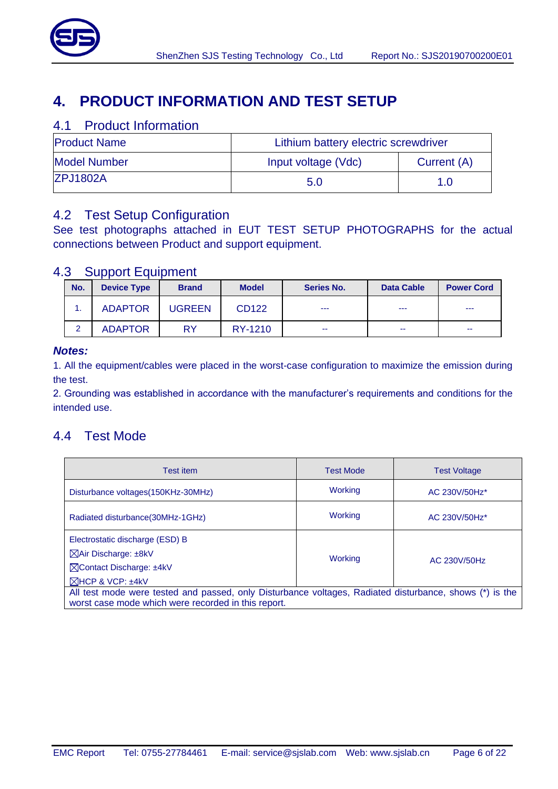

# <span id="page-5-0"></span>**4. PRODUCT INFORMATION AND TEST SETUP**

#### <span id="page-5-1"></span>4.1 Product Information

| <b>Product Name</b> | Lithium battery electric screwdriver |     |  |
|---------------------|--------------------------------------|-----|--|
| <b>Model Number</b> | Input voltage (Vdc)<br>Current (A)   |     |  |
| <b>ZPJ1802A</b>     | 5.0                                  | 1.0 |  |

### <span id="page-5-2"></span>4.2 Test Setup Configuration

See test photographs attached in EUT TEST SETUP PHOTOGRAPHS for the actual connections between Product and support equipment.

#### <span id="page-5-3"></span>4.3 Support Equipment

| No. | <b>Device Type</b> | <b>Brand</b> | <b>Model</b> | <b>Series No.</b> | <b>Data Cable</b> | <b>Power Cord</b> |
|-----|--------------------|--------------|--------------|-------------------|-------------------|-------------------|
|     | <b>ADAPTOR</b>     | UGREEN       | CD122        | ---               | $\frac{1}{2}$     | $- - -$           |
| റ   | <b>ADAPTOR</b>     | RY           | RY-1210      | $\sim$            | --                | $\sim$            |

#### *Notes:*

1. All the equipment/cables were placed in the worst-case configuration to maximize the emission during the test.

2. Grounding was established in accordance with the manufacturer's requirements and conditions for the intended use.

### <span id="page-5-4"></span>4.4 Test Mode

| Test item                                                                                                                                                      | <b>Test Mode</b> | <b>Test Voltage</b>       |  |  |  |
|----------------------------------------------------------------------------------------------------------------------------------------------------------------|------------------|---------------------------|--|--|--|
| Disturbance voltages (150KHz-30MHz)                                                                                                                            | Working          | AC 230V/50Hz <sup>*</sup> |  |  |  |
| Radiated disturbance (30MHz-1GHz)                                                                                                                              | Working          | AC 230V/50Hz <sup>*</sup> |  |  |  |
| Electrostatic discharge (ESD) B                                                                                                                                |                  |                           |  |  |  |
| ⊠Air Discharge: ±8kV                                                                                                                                           | Working          | AC 230V/50Hz              |  |  |  |
| <b>NContact Discharge: ±4kV</b>                                                                                                                                |                  |                           |  |  |  |
| $\boxtimes$ HCP & VCP: $±4kV$                                                                                                                                  |                  |                           |  |  |  |
| All test mode were tested and passed, only Disturbance voltages, Radiated disturbance, shows (*) is the<br>worst case mode which were recorded in this report. |                  |                           |  |  |  |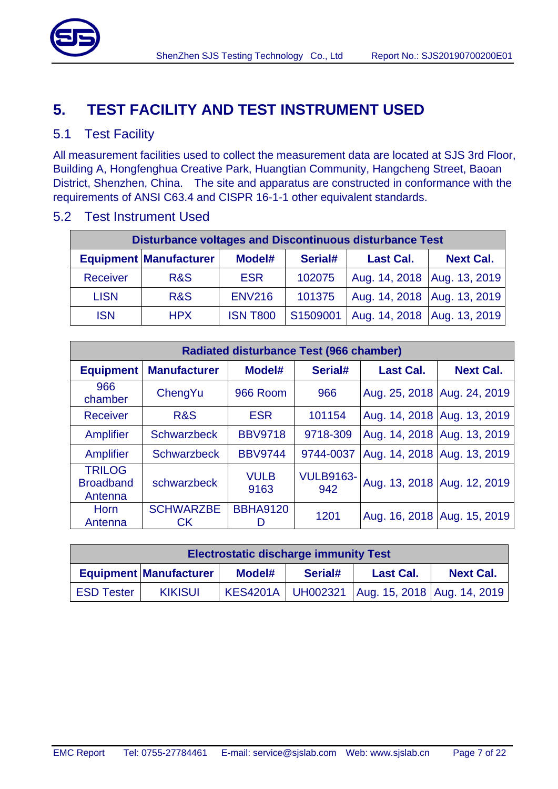

# <span id="page-6-0"></span>**5. TEST FACILITY AND TEST INSTRUMENT USED**

#### <span id="page-6-1"></span>5.1 Test Facility

All measurement facilities used to collect the measurement data are located at SJS 3rd Floor, Building A, Hongfenghua Creative Park, Huangtian Community, Hangcheng Street, Baoan District, Shenzhen, China. The site and apparatus are constructed in conformance with the requirements of ANSI C63.4 and CISPR 16-1-1 other equivalent standards.

| <b>Disturbance voltages and Discontinuous disturbance Test</b> |                               |                 |          |                               |                  |  |
|----------------------------------------------------------------|-------------------------------|-----------------|----------|-------------------------------|------------------|--|
|                                                                | <b>Equipment Manufacturer</b> | Model#          | Serial#  | <b>Last Cal.</b>              | <b>Next Cal.</b> |  |
| Receiver                                                       | <b>R&amp;S</b>                | <b>ESR</b>      | 102075   | Aug. 14, 2018   Aug. 13, 2019 |                  |  |
| <b>LISN</b>                                                    | <b>R&amp;S</b>                | <b>ENV216</b>   | 101375   | Aug. 14, 2018 Aug. 13, 2019   |                  |  |
| <b>ISN</b>                                                     | <b>HPX</b>                    | <b>ISN T800</b> | S1509001 | Aug. 14, 2018   Aug. 13, 2019 |                  |  |

#### <span id="page-6-2"></span>5.2 Test Instrument Used

| <b>Radiated disturbance Test (966 chamber)</b> |                               |                       |                         |                               |                  |  |
|------------------------------------------------|-------------------------------|-----------------------|-------------------------|-------------------------------|------------------|--|
| <b>Equipment</b>                               | <b>Manufacturer</b>           | Model#                | Serial#                 | <b>Last Cal.</b>              | <b>Next Cal.</b> |  |
| 966<br>chamber                                 | ChengYu                       | 966 Room              | 966                     | Aug. 25, 2018 Aug. 24, 2019   |                  |  |
| <b>Receiver</b>                                | R&S                           | <b>ESR</b>            | 101154                  | Aug. 14, 2018 Aug. 13, 2019   |                  |  |
| Amplifier                                      | <b>Schwarzbeck</b>            | <b>BBV9718</b>        | 9718-309                | Aug. 14, 2018   Aug. 13, 2019 |                  |  |
| Amplifier                                      | <b>Schwarzbeck</b>            | <b>BBV9744</b>        | 9744-0037               | Aug. 14, 2018 Aug. 13, 2019   |                  |  |
| <b>TRILOG</b><br><b>Broadband</b><br>Antenna   | schwarzbeck                   | <b>VULB</b><br>9163   | <b>VULB9163-</b><br>942 | Aug. 13, 2018 Aug. 12, 2019   |                  |  |
| <b>Horn</b><br>Antenna                         | <b>SCHWARZBE</b><br><b>CK</b> | <b>BBHA9120</b><br>I) | 1201                    | Aug. 16, 2018 Aug. 15, 2019   |                  |  |

| <b>Electrostatic discharge immunity Test</b>                                               |                |  |  |                                                     |  |  |
|--------------------------------------------------------------------------------------------|----------------|--|--|-----------------------------------------------------|--|--|
| <b>Equipment Manufacturer</b><br>Serial#<br><b>Next Cal.</b><br>Model#<br><b>Last Cal.</b> |                |  |  |                                                     |  |  |
| <b>ESD Tester</b>                                                                          | <b>KIKISUI</b> |  |  | KES4201A   UH002321   Aug. 15, 2018   Aug. 14, 2019 |  |  |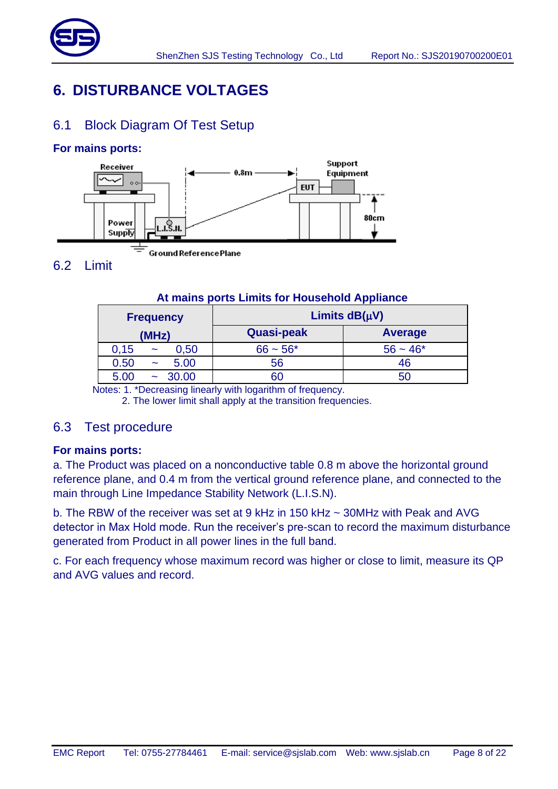

# <span id="page-7-0"></span>**6. DISTURBANCE VOLTAGES**

### <span id="page-7-1"></span>6.1 Block Diagram Of Test Setup

#### **For mains ports:**



# <span id="page-7-2"></span>6.2 Limit

#### **At mains ports Limits for Household Appliance**

| <b>Frequency</b>                      | Limits $dB(\mu V)$ |            |  |  |  |
|---------------------------------------|--------------------|------------|--|--|--|
| (MHz)                                 | <b>Quasi-peak</b>  | Average    |  |  |  |
| 0.15<br>0,50<br>$\tilde{\phantom{a}}$ | $66 - 56*$         | $56 - 46*$ |  |  |  |
| 5.00<br>0.50<br>$\tilde{\phantom{a}}$ | 56                 | 46         |  |  |  |
| 30.00<br>5.00<br>$\tilde{}$           | 60                 | 50         |  |  |  |

Notes: 1. \*Decreasing linearly with logarithm of frequency.

2. The lower limit shall apply at the transition frequencies.

#### <span id="page-7-3"></span>6.3 Test procedure

#### **For mains ports:**

a. The Product was placed on a nonconductive table 0.8 m above the horizontal ground reference plane, and 0.4 m from the vertical ground reference plane, and connected to the main through Line Impedance Stability Network (L.I.S.N).

b. The RBW of the receiver was set at 9 kHz in 150 kHz ~ 30MHz with Peak and AVG detector in Max Hold mode. Run the receiver's pre-scan to record the maximum disturbance generated from Product in all power lines in the full band.

c. For each frequency whose maximum record was higher or close to limit, measure its QP and AVG values and record.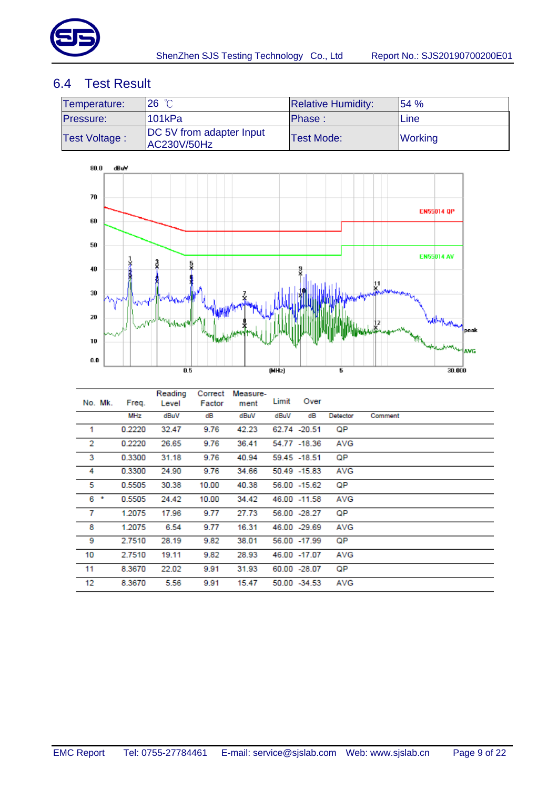

### <span id="page-8-0"></span>6.4 Test Result

| Temperature:         | 26 °C                                                 | <b>Relative Humidity:</b> | 154%           |
|----------------------|-------------------------------------------------------|---------------------------|----------------|
| <b>Pressure:</b>     | '101kPa                                               | Phase:                    | lLine          |
| <b>Test Voltage:</b> | <b>DC</b> 5V from adapter Input<br><b>AC230V/50Hz</b> | <b>Test Mode:</b>         | <b>Working</b> |



|                | No. Mk. | Freq.  | Reading<br>Level | Correct<br>Factor | Measure-<br>ment | Limit | Over          |            |         |
|----------------|---------|--------|------------------|-------------------|------------------|-------|---------------|------------|---------|
|                |         | MHz    | dBuV             | dB                | dBuV             | dBuV  | dB            | Detector   | Comment |
| 1              |         | 0.2220 | 32.47            | 9.76              | 42.23            |       | 62.74 -20.51  | QP         |         |
| $\overline{2}$ |         | 0.2220 | 26.65            | 9.76              | 36.41            |       | 54.77 -18.36  | AVG        |         |
| 3              |         | 0.3300 | 31.18            | 9.76              | 40.94            |       | 59.45 - 18.51 | QP         |         |
| 4              |         | 0.3300 | 24.90            | 9.76              | 34.66            |       | 50.49 -15.83  | <b>AVG</b> |         |
| 5              |         | 0.5505 | 30.38            | 10.00             | 40.38            |       | 56.00 - 15.62 | QP         |         |
| $6*$           |         | 0.5505 | 24.42            | 10.00             | 34.42            |       | 46.00 -11.58  | AVG        |         |
| 7              |         | 1.2075 | 17.96            | 9.77              | 27.73            |       | 56.00 -28.27  | QP         |         |
| 8              |         | 1.2075 | 6.54             | 9.77              | 16.31            |       | 46.00 -29.69  | AVG        |         |
| 9              |         | 2.7510 | 28.19            | 9.82              | 38.01            |       | 56.00 -17.99  | QP         |         |
| 10             |         | 2.7510 | 19.11            | 9.82              | 28.93            |       | 46.00 -17.07  | AVG        |         |
| 11             |         | 8.3670 | 22.02            | 9.91              | 31.93            |       | 60.00 -28.07  | QP         |         |
| 12             |         | 8.3670 | 5.56             | 9.91              | 15.47            |       | 50.00 -34.53  | AVG        |         |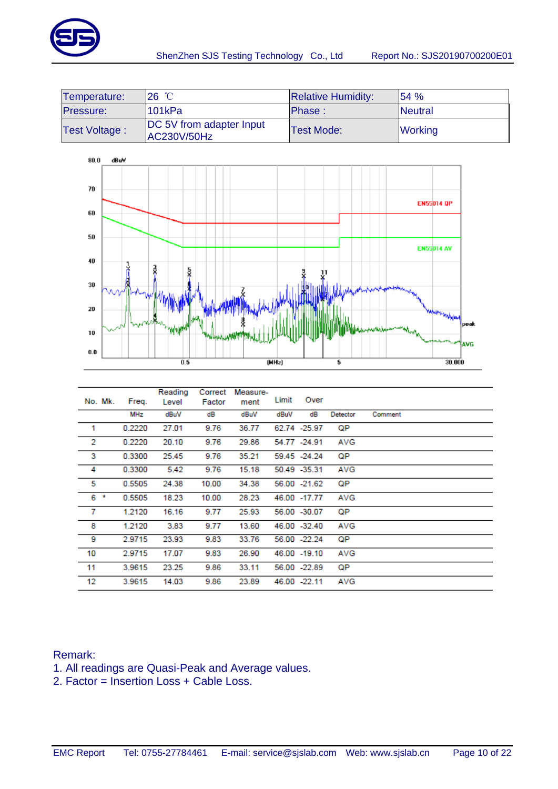

| Temperature:  | $26^{\circ}$ C                                  | <b>Relative Humidity:</b> | 154%            |
|---------------|-------------------------------------------------|---------------------------|-----------------|
| Pressure:     | l101kPa                                         | Phase:                    | <b>INeutral</b> |
| Test Voltage: | <b>IDC 5V from adapter Input</b><br>AC230V/50Hz | <b>Test Mode:</b>         | <b>Working</b>  |



|    | No. Mk. | Freq.  | Reading<br>Level | Correct<br>Factor | Measure-<br>ment | Limit | Over          |          |         |
|----|---------|--------|------------------|-------------------|------------------|-------|---------------|----------|---------|
|    |         | MHz    | dBuV             | dB                | dBuV             | dBuV  | dB            | Detector | Comment |
| 1  |         | 0.2220 | 27.01            | 9.76              | 36.77            |       | 62.74 - 25.97 | QP       |         |
| 2  |         | 0.2220 | 20.10            | 9.76              | 29.86            |       | 54.77 -24.91  | AVG      |         |
| 3  |         | 0.3300 | 25.45            | 9.76              | 35.21            |       | 59.45 -24.24  | QP       |         |
| 4  |         | 0.3300 | 5.42             | 9.76              | 15.18            |       | 50.49 -35.31  | AVG      |         |
| 5  |         | 0.5505 | 24.38            | 10.00             | 34.38            |       | 56.00 -21.62  | QP       |         |
|    | $6*$    | 0.5505 | 18.23            | 10.00             | 28.23            |       | 46.00 -17.77  | AVG      |         |
| 7  |         | 1.2120 | 16.16            | 9.77              | 25.93            |       | 56.00 -30.07  | QP       |         |
| 8  |         | 1.2120 | 3.83             | 9.77              | 13.60            |       | 46.00 -32.40  | AVG      |         |
| 9  |         | 2.9715 | 23.93            | 9.83              | 33.76            |       | 56.00 -22.24  | QP       |         |
| 10 |         | 2.9715 | 17.07            | 9.83              | 26.90            |       | 46.00 -19.10  | AVG      |         |
| 11 |         | 3.9615 | 23.25            | 9.86              | 33.11            |       | 56.00 -22.89  | QP       |         |
| 12 |         | 3.9615 | 14.03            | 9.86              | 23.89            |       | 46.00 -22.11  | AVG      |         |

#### Remark:

- 1. All readings are Quasi-Peak and Average values.
- 2. Factor = Insertion Loss + Cable Loss.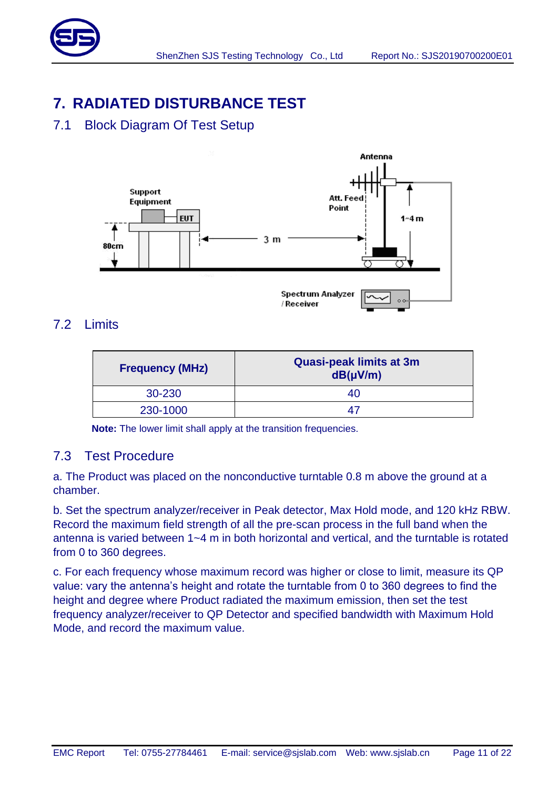

# <span id="page-10-0"></span>**7. RADIATED DISTURBANCE TEST**

## <span id="page-10-1"></span>7.1 Block Diagram Of Test Setup



### <span id="page-10-2"></span>7.2 Limits

| <b>Frequency (MHz)</b> | <b>Quasi-peak limits at 3m</b><br>$dB(\mu V/m)$ |
|------------------------|-------------------------------------------------|
| 30-230                 | 40                                              |
| 230-1000               | $\Delta I$                                      |

**Note:** The lower limit shall apply at the transition frequencies.

### <span id="page-10-3"></span>7.3 Test Procedure

a. The Product was placed on the nonconductive turntable 0.8 m above the ground at a chamber.

b. Set the spectrum analyzer/receiver in Peak detector, Max Hold mode, and 120 kHz RBW. Record the maximum field strength of all the pre-scan process in the full band when the antenna is varied between 1~4 m in both horizontal and vertical, and the turntable is rotated from 0 to 360 degrees.

c. For each frequency whose maximum record was higher or close to limit, measure its QP value: vary the antenna's height and rotate the turntable from 0 to 360 degrees to find the height and degree where Product radiated the maximum emission, then set the test frequency analyzer/receiver to QP Detector and specified bandwidth with Maximum Hold Mode, and record the maximum value.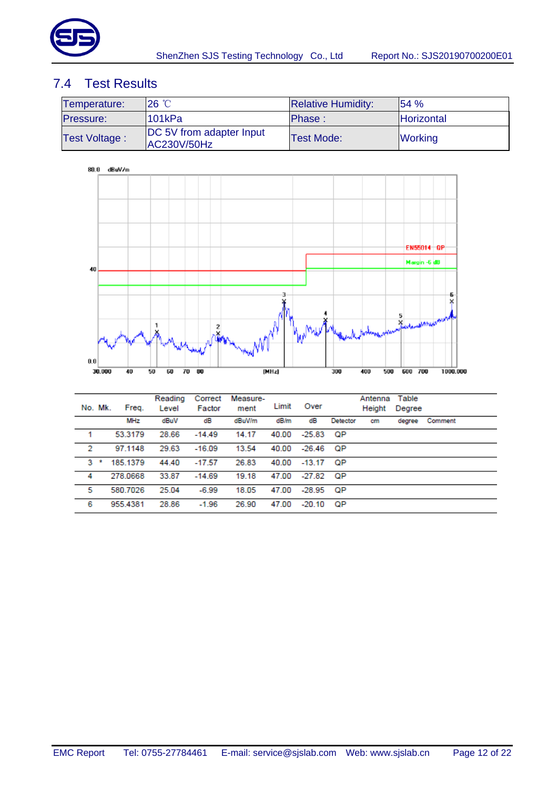

### <span id="page-11-0"></span>7.4 Test Results

| Temperature:     | 26 °C                                                 | <b>Relative Humidity:</b> | 154%              |
|------------------|-------------------------------------------------------|---------------------------|-------------------|
| <b>Pressure:</b> | 101kPa                                                | Phase:                    | <b>Horizontal</b> |
| Test Voltage:    | <b>DC 5V from adapter Input</b><br><b>AC230V/50Hz</b> | <b>Test Mode:</b>         | <b>Working</b>    |



| No. Mk. | Freq.      | Reading<br>Level | Correct<br>Factor | Measure-<br>ment | Limit | Over        |          | Antenna<br>Height | Table<br>Degree |         |
|---------|------------|------------------|-------------------|------------------|-------|-------------|----------|-------------------|-----------------|---------|
|         | <b>MHz</b> | dBuV             | dB                | dBuV/m           | dB/m  | dB          | Detector | cm                | degree          | Comment |
| 1       | 53.3179    | 28.66            | $-14.49$          | 14.17            | 40.00 | -25.83      | QP       |                   |                 |         |
| 2       | 97.1148    | 29.63            | $-16.09$          | 13.54            | 40.00 | -26.46      | - QP     |                   |                 |         |
| 3       | 185.1379   | 44.40            | $-17.57$          | 26.83            | 40.00 | $-13.17$ QP |          |                   |                 |         |
| 4       | 278,0668   | 33.87            | $-14.69$          | 19.18            | 47.00 | $-27.82$ QP |          |                   |                 |         |
| 5       | 580.7026   | 25.04            | $-6.99$           | 18.05            | 47.00 | $-28.95$    | QP       |                   |                 |         |
| 6       | 955.4381   | 28.86            | $-1.96$           | 26.90            | 47.00 | $-20.10$    | QP       |                   |                 |         |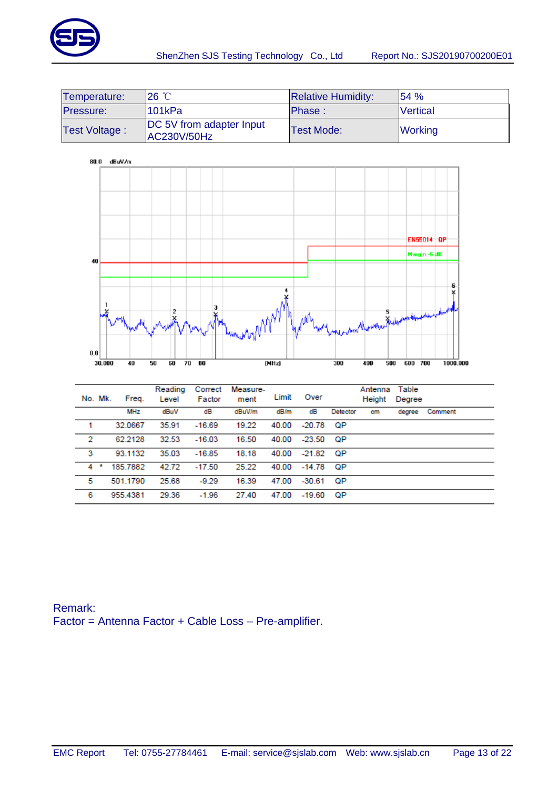

| Temperature:         | $26^{\circ}$ C                                 | <b>Relative Humidity:</b> | 154%            |
|----------------------|------------------------------------------------|---------------------------|-----------------|
| Pressure:            | 101kPa                                         | Phase:                    | <b>Vertical</b> |
| <b>Test Voltage:</b> | <b>DC</b> 5V from adapter Input<br>AC230V/50Hz | <b>Test Mode:</b>         | <b>Working</b>  |



| No. Mk. | Freq.      | Reading<br>Level | Correct<br>Factor | Measure-<br>ment | Limit | Over     |          | Antenna<br>Height | Table<br>Degree |         |
|---------|------------|------------------|-------------------|------------------|-------|----------|----------|-------------------|-----------------|---------|
|         | <b>MHz</b> | dBuV             | dB                | dBuV/m           | dB/m  | dB       | Detector | cm                | degree          | Comment |
| 1       | 32.0667    | 35.91            | $-16.69$          | 19.22            | 40.00 | -20.78   | QP       |                   |                 |         |
| 2       | 62.2128    | 32.53            | $-16.03$          | 16.50            | 40.00 | -23.50   | QР       |                   |                 |         |
| 3       | 93.1132    | 35.03            | $-16.85$          | 18.18            | 40.00 | -21.82   | ОP       |                   |                 |         |
| $4$ *   | 185.7882   | 42.72            | $-17.50$          | 25.22            | 40.00 | $-14.78$ | ОP       |                   |                 |         |
| 5       | 501.1790   | 25.68            | $-9.29$           | 16.39            | 47.00 | $-30.61$ | QP       |                   |                 |         |
| 6       | 955.4381   | 29.36            | $-1.96$           | 27.40            | 47.00 | $-19.60$ | QP       |                   |                 |         |

Remark: Factor = Antenna Factor + Cable Loss – Pre-amplifier.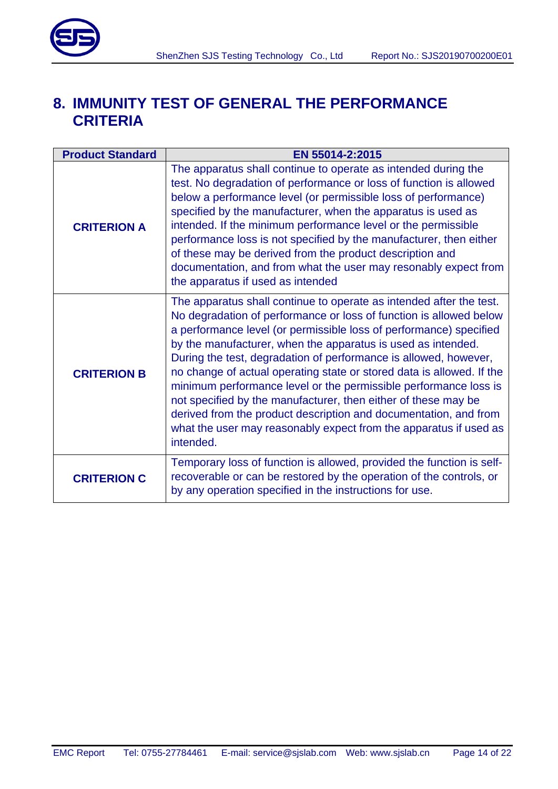

# <span id="page-13-0"></span>**8. IMMUNITY TEST OF GENERAL THE PERFORMANCE CRITERIA**

| <b>Product Standard</b> | EN 55014-2:2015                                                                                                                                                                                                                                                                                                                                                                                                                                                                                                                                                                                                                                                                                                          |
|-------------------------|--------------------------------------------------------------------------------------------------------------------------------------------------------------------------------------------------------------------------------------------------------------------------------------------------------------------------------------------------------------------------------------------------------------------------------------------------------------------------------------------------------------------------------------------------------------------------------------------------------------------------------------------------------------------------------------------------------------------------|
| <b>CRITERION A</b>      | The apparatus shall continue to operate as intended during the<br>test. No degradation of performance or loss of function is allowed<br>below a performance level (or permissible loss of performance)<br>specified by the manufacturer, when the apparatus is used as<br>intended. If the minimum performance level or the permissible<br>performance loss is not specified by the manufacturer, then either<br>of these may be derived from the product description and<br>documentation, and from what the user may resonably expect from<br>the apparatus if used as intended                                                                                                                                        |
| <b>CRITERION B</b>      | The apparatus shall continue to operate as intended after the test.<br>No degradation of performance or loss of function is allowed below<br>a performance level (or permissible loss of performance) specified<br>by the manufacturer, when the apparatus is used as intended.<br>During the test, degradation of performance is allowed, however,<br>no change of actual operating state or stored data is allowed. If the<br>minimum performance level or the permissible performance loss is<br>not specified by the manufacturer, then either of these may be<br>derived from the product description and documentation, and from<br>what the user may reasonably expect from the apparatus if used as<br>intended. |
| <b>CRITERION C</b>      | Temporary loss of function is allowed, provided the function is self-<br>recoverable or can be restored by the operation of the controls, or<br>by any operation specified in the instructions for use.                                                                                                                                                                                                                                                                                                                                                                                                                                                                                                                  |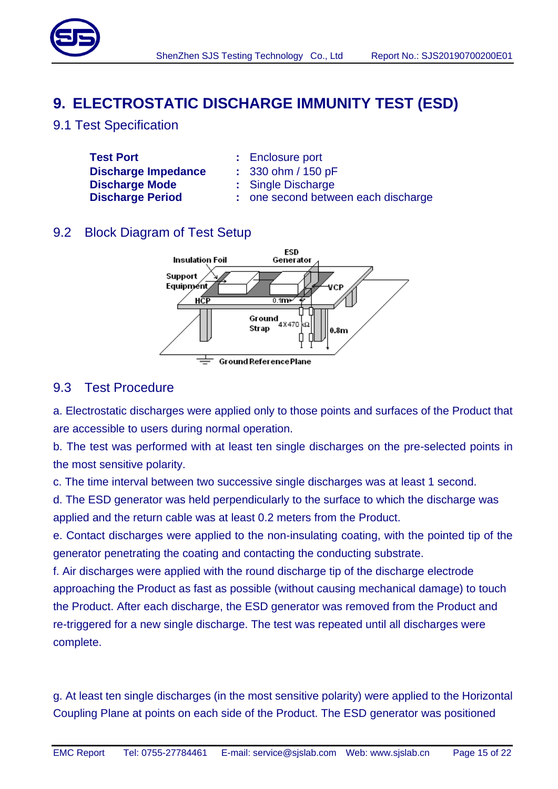

# <span id="page-14-0"></span>**9. ELECTROSTATIC DISCHARGE IMMUNITY TEST (ESD)**

<span id="page-14-1"></span>9.1 Test Specification

**Test Port :** Enclosure port **Discharge Impedance :** 330 ohm / 150 pF **Discharge Mode :** Single Discharge

- 
- 
- 
- **Discharge Period :** one second between each discharge

### <span id="page-14-2"></span>9.2 Block Diagram of Test Setup



#### <span id="page-14-3"></span>9.3 Test Procedure

a. Electrostatic discharges were applied only to those points and surfaces of the Product that are accessible to users during normal operation.

b. The test was performed with at least ten single discharges on the pre-selected points in the most sensitive polarity.

c. The time interval between two successive single discharges was at least 1 second.

d. The ESD generator was held perpendicularly to the surface to which the discharge was applied and the return cable was at least 0.2 meters from the Product.

e. Contact discharges were applied to the non-insulating coating, with the pointed tip of the generator penetrating the coating and contacting the conducting substrate.

f. Air discharges were applied with the round discharge tip of the discharge electrode approaching the Product as fast as possible (without causing mechanical damage) to touch the Product. After each discharge, the ESD generator was removed from the Product and re-triggered for a new single discharge. The test was repeated until all discharges were complete.

g. At least ten single discharges (in the most sensitive polarity) were applied to the Horizontal Coupling Plane at points on each side of the Product. The ESD generator was positioned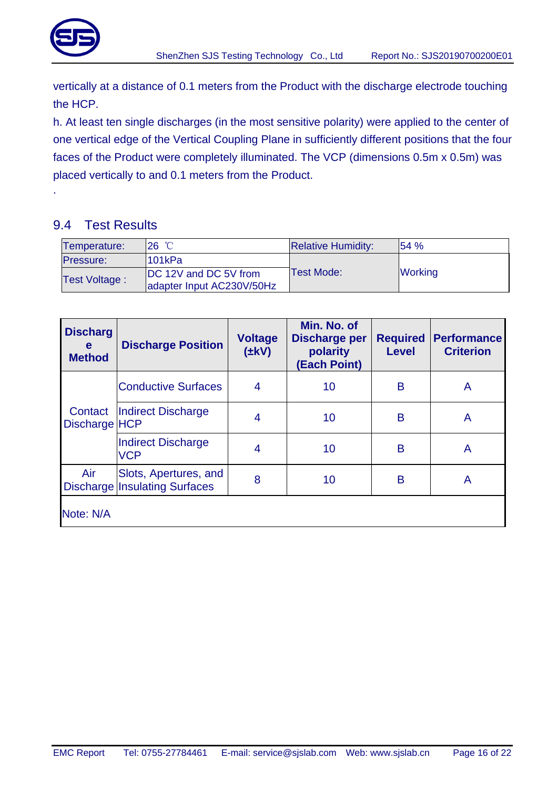

.

vertically at a distance of 0.1 meters from the Product with the discharge electrode touching the HCP.

h. At least ten single discharges (in the most sensitive polarity) were applied to the center of one vertical edge of the Vertical Coupling Plane in sufficiently different positions that the four faces of the Product were completely illuminated. The VCP (dimensions 0.5m x 0.5m) was placed vertically to and 0.1 meters from the Product.

### <span id="page-15-0"></span>9.4 Test Results

| Temperature:         | 26 °C                     | <b>Relative Humidity:</b> | 154%           |
|----------------------|---------------------------|---------------------------|----------------|
| <b>Pressure:</b>     | l101kPa                   |                           |                |
| <b>Test Voltage:</b> | DC 12V and DC 5V from     | Test Mode:                | <b>Working</b> |
|                      | adapter Input AC230V/50Hz |                           |                |

| <b>Discharg</b><br>e<br><b>Method</b> | <b>Discharge Position</b>                                     | <b>Voltage</b><br>$(\pm kV)$ | Min. No. of<br><b>Discharge per</b><br>polarity<br>(Each Point) | <b>Required</b><br><b>Level</b> | <b>Performance</b><br><b>Criterion</b> |
|---------------------------------------|---------------------------------------------------------------|------------------------------|-----------------------------------------------------------------|---------------------------------|----------------------------------------|
| Contact<br>Discharge HCP              | <b>Conductive Surfaces</b>                                    | $\overline{4}$               | 10                                                              | B                               | A                                      |
|                                       | Indirect Discharge                                            | 4                            | 10                                                              | B                               | A                                      |
|                                       | Indirect Discharge<br><b>VCP</b>                              | 4                            | 10                                                              | B                               | A                                      |
| Air                                   | Slots, Apertures, and<br><b>Discharge Insulating Surfaces</b> | 8                            | 10                                                              | B                               | A                                      |
| Note: N/A                             |                                                               |                              |                                                                 |                                 |                                        |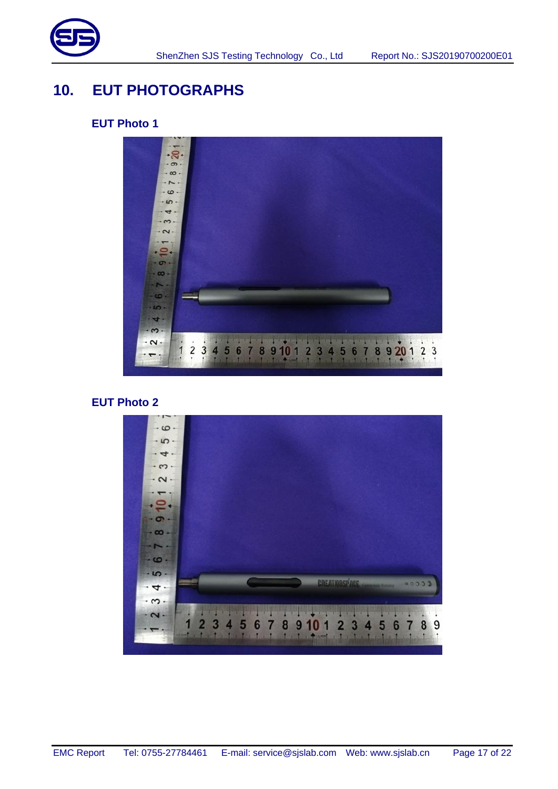

# <span id="page-16-0"></span>**10. EUT PHOTOGRAPHS**

### **EUT Photo 1**



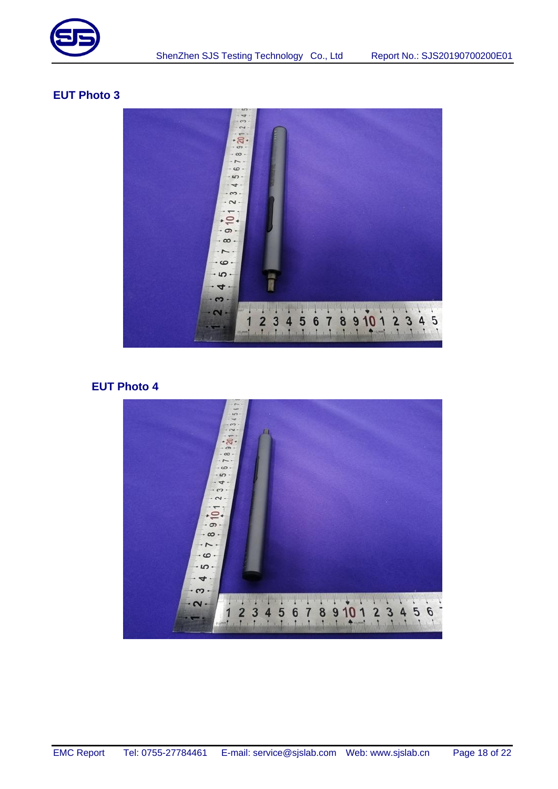



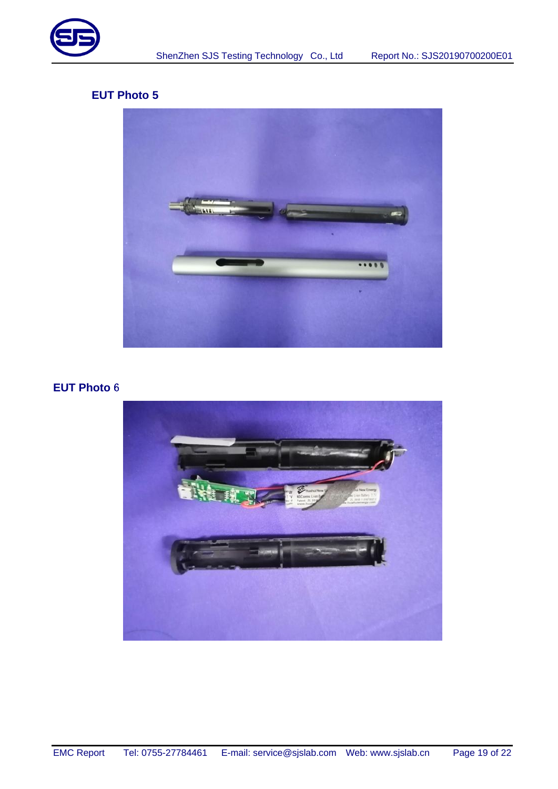



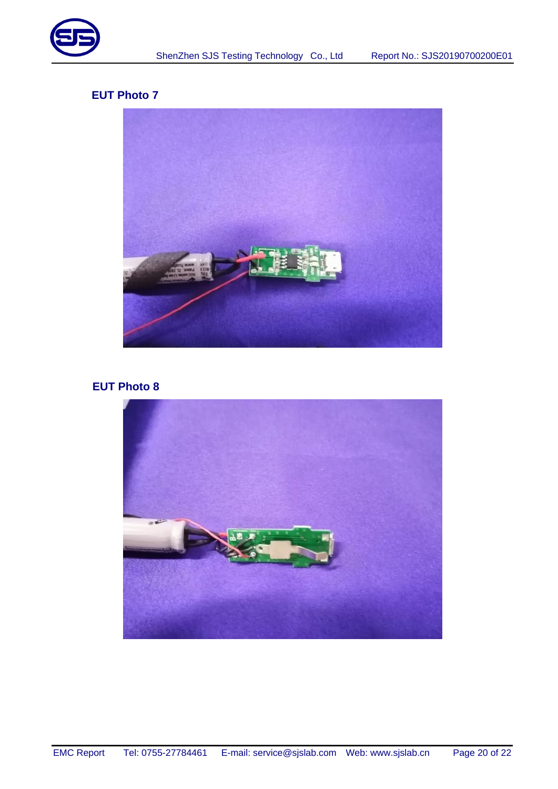



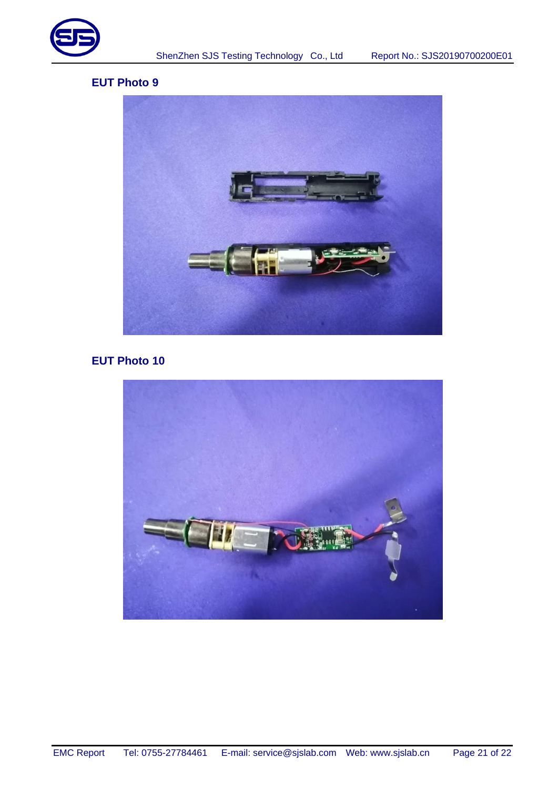